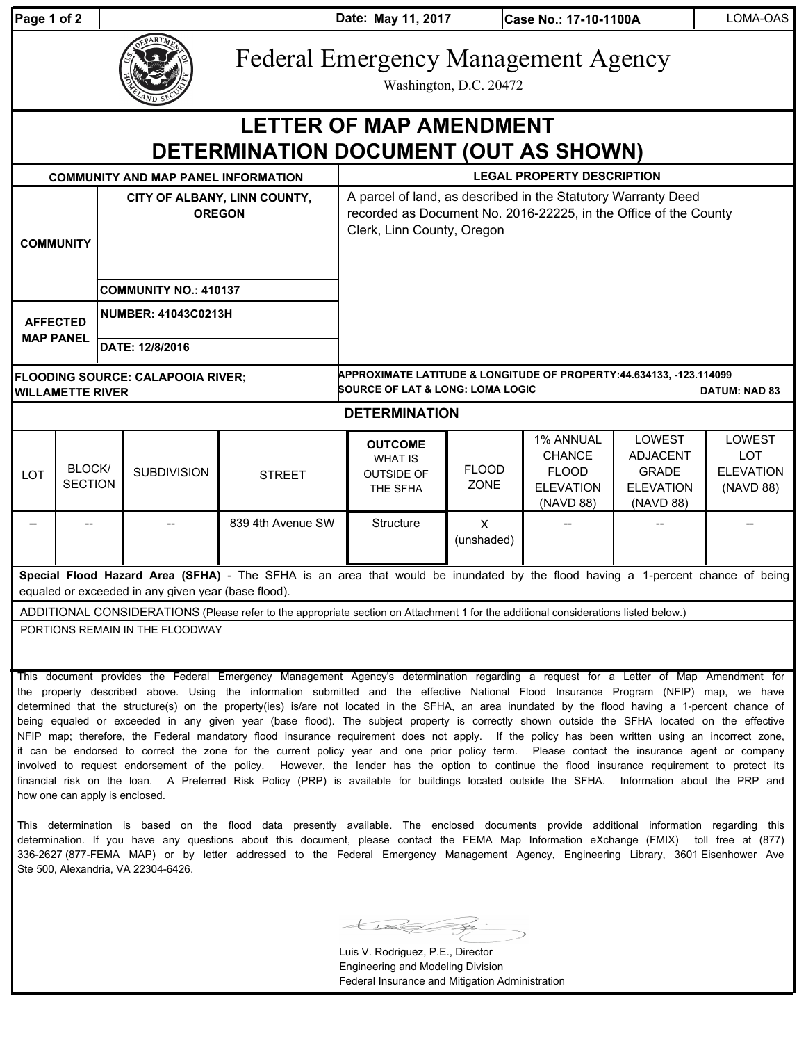| <b>⊃a</b> αe 1 of |  |  |
|-------------------|--|--|
|                   |  |  |

**Date: May 11, 2017** 

**Case No.: 17-10-1100A** | LOMA-OAS

| EPARTME<br><b>ZAND SE</b> |
|---------------------------|
|                           |

Federal Emergency Management Agency

Washington, D.C. 20472

## **DETERMINATION DOCUMENT (OUT AS SHOWN) LETTER OF MAP AMENDMENT**

| <b>COMMUNITY AND MAP PANEL INFORMATION</b>                                                                                                                                            |                                 |  | <b>LEGAL PROPERTY DESCRIPTION</b> |                                                                                                                                                                 |                                                                                                                                            |                             |                                                                             |                                                                                   |                                                              |
|---------------------------------------------------------------------------------------------------------------------------------------------------------------------------------------|---------------------------------|--|-----------------------------------|-----------------------------------------------------------------------------------------------------------------------------------------------------------------|--------------------------------------------------------------------------------------------------------------------------------------------|-----------------------------|-----------------------------------------------------------------------------|-----------------------------------------------------------------------------------|--------------------------------------------------------------|
| CITY OF ALBANY, LINN COUNTY,<br><b>OREGON</b><br><b>COMMUNITY</b><br><b>COMMUNITY NO.: 410137</b>                                                                                     |                                 |  |                                   | A parcel of land, as described in the Statutory Warranty Deed<br>recorded as Document No. 2016-22225, in the Office of the County<br>Clerk, Linn County, Oregon |                                                                                                                                            |                             |                                                                             |                                                                                   |                                                              |
| <b>NUMBER: 41043C0213H</b><br><b>AFFECTED</b><br><b>MAP PANEL</b><br>DATE: 12/8/2016                                                                                                  |                                 |  |                                   |                                                                                                                                                                 |                                                                                                                                            |                             |                                                                             |                                                                                   |                                                              |
| <b>FLOODING SOURCE: CALAPOOIA RIVER;</b><br><b>WILLAMETTE RIVER</b>                                                                                                                   |                                 |  |                                   |                                                                                                                                                                 | APPROXIMATE LATITUDE & LONGITUDE OF PROPERTY:44.634133, -123.114099<br><b>SOURCE OF LAT &amp; LONG: LOMA LOGIC</b><br><b>DATUM: NAD 83</b> |                             |                                                                             |                                                                                   |                                                              |
| <b>DETERMINATION</b>                                                                                                                                                                  |                                 |  |                                   |                                                                                                                                                                 |                                                                                                                                            |                             |                                                                             |                                                                                   |                                                              |
| LOT                                                                                                                                                                                   | <b>BLOCK/</b><br><b>SECTION</b> |  | <b>SUBDIVISION</b>                | <b>STREET</b>                                                                                                                                                   | <b>OUTCOME</b><br><b>WHAT IS</b><br><b>OUTSIDE OF</b><br>THE SFHA                                                                          | <b>FLOOD</b><br><b>ZONE</b> | 1% ANNUAL<br><b>CHANCE</b><br><b>FLOOD</b><br><b>ELEVATION</b><br>(NAVD 88) | <b>LOWEST</b><br><b>ADJACENT</b><br><b>GRADE</b><br><b>ELEVATION</b><br>(NAVD 88) | <b>LOWEST</b><br><b>LOT</b><br><b>ELEVATION</b><br>(NAVD 88) |
|                                                                                                                                                                                       |                                 |  |                                   | 839 4th Avenue SW                                                                                                                                               | <b>Structure</b>                                                                                                                           | X<br>(unshaded)             |                                                                             |                                                                                   |                                                              |
| Special Flood Hazard Area (SFHA) - The SFHA is an area that would be inundated by the flood having a 1-percent chance of being<br>equaled or exceeded in any given year (base flood). |                                 |  |                                   |                                                                                                                                                                 |                                                                                                                                            |                             |                                                                             |                                                                                   |                                                              |
| ADDITIONAL CONSIDERATIONS (Please refer to the appropriate section on Attachment 1 for the additional considerations listed below.)<br>PORTIONS REMAIN IN THE FLOODWAY                |                                 |  |                                   |                                                                                                                                                                 |                                                                                                                                            |                             |                                                                             |                                                                                   |                                                              |

This document provides the Federal Emergency Management Agency's determination regarding a request for a Letter of Map Amendment for the property described above. Using the information submitted and the effective National Flood Insurance Program (NFIP) map, we have determined that the structure(s) on the property(ies) is/are not located in the SFHA, an area inundated by the flood having a 1-percent chance of being equaled or exceeded in any given year (base flood). The subject property is correctly shown outside the SFHA located on the effective NFIP map; therefore, the Federal mandatory flood insurance requirement does not apply. If the policy has been written using an incorrect zone, it can be endorsed to correct the zone for the current policy year and one prior policy term. Please contact the insurance agent or company involved to request endorsement of the policy. However, the lender has the option to continue the flood insurance requirement to protect its financial risk on the loan. A Preferred Risk Policy (PRP) is available for buildings located outside the SFHA. Information about the PRP and how one can apply is enclosed.

This determination is based on the flood data presently available. The enclosed documents provide additional information regarding this determination. If you have any questions about this document, please contact the FEMA Map Information eXchange (FMIX) toll free at (877) 336-2627 (877-FEMA MAP) or by letter addressed to the Federal Emergency Management Agency, Engineering Library, 3601 Eisenhower Ave Ste 500, Alexandria, VA 22304-6426.

Luis V. Rodriguez, P.E., Director Engineering and Modeling Division Federal Insurance and Mitigation Administration